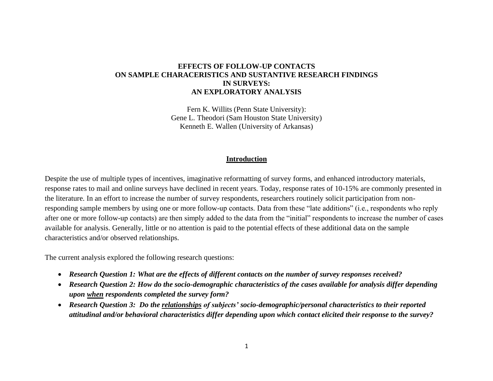# **EFFECTS OF FOLLOW-UP CONTACTS ON SAMPLE CHARACERISTICS AND SUSTANTIVE RESEARCH FINDINGS IN SURVEYS: AN EXPLORATORY ANALYSIS**

Fern K. Willits (Penn State University): Gene L. Theodori (Sam Houston State University) Kenneth E. Wallen (University of Arkansas)

#### **Introduction**

Despite the use of multiple types of incentives, imaginative reformatting of survey forms, and enhanced introductory materials, response rates to mail and online surveys have declined in recent years. Today, response rates of 10-15% are commonly presented in the literature. In an effort to increase the number of survey respondents, researchers routinely solicit participation from nonresponding sample members by using one or more follow-up contacts. Data from these "late additions" (i.e., respondents who reply after one or more follow-up contacts) are then simply added to the data from the "initial" respondents to increase the number of cases available for analysis. Generally, little or no attention is paid to the potential effects of these additional data on the sample characteristics and/or observed relationships.

The current analysis explored the following research questions:

- *Research Question 1: What are the effects of different contacts on the number of survey responses received?*
- *Research Question 2: How do the socio-demographic characteristics of the cases available for analysis differ depending upon when respondents completed the survey form?*
- *Research Question 3: Do the relationships of subjects' socio-demographic/personal characteristics to their reported attitudinal and/or behavioral characteristics differ depending upon which contact elicited their response to the survey?*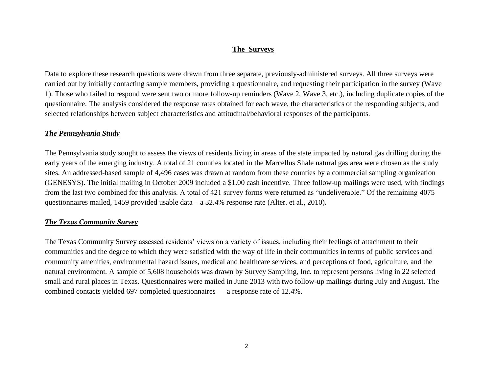# **The Surveys**

Data to explore these research questions were drawn from three separate, previously-administered surveys. All three surveys were carried out by initially contacting sample members, providing a questionnaire, and requesting their participation in the survey (Wave 1). Those who failed to respond were sent two or more follow-up reminders (Wave 2, Wave 3, etc.), including duplicate copies of the questionnaire. The analysis considered the response rates obtained for each wave, the characteristics of the responding subjects, and selected relationships between subject characteristics and attitudinal/behavioral responses of the participants.

# *The Pennsylvania Study*

The Pennsylvania study sought to assess the views of residents living in areas of the state impacted by natural gas drilling during the early years of the emerging industry. A total of 21 counties located in the Marcellus Shale natural gas area were chosen as the study sites. An addressed-based sample of 4,496 cases was drawn at random from these counties by a commercial sampling organization (GENESYS). The initial mailing in October 2009 included a \$1.00 cash incentive. Three follow-up mailings were used, with findings from the last two combined for this analysis. A total of 421 survey forms were returned as "undeliverable." Of the remaining 4075 questionnaires mailed, 1459 provided usable data – a 32.4% response rate (Alter. et al., 2010).

# *The Texas Community Survey*

The Texas Community Survey assessed residents' views on a variety of issues, including their feelings of attachment to their communities and the degree to which they were satisfied with the way of life in their communities in terms of public services and community amenities, environmental hazard issues, medical and healthcare services, and perceptions of food, agriculture, and the natural environment. A sample of 5,608 households was drawn by Survey Sampling, Inc. to represent persons living in 22 selected small and rural places in Texas. Questionnaires were mailed in June 2013 with two follow-up mailings during July and August. The combined contacts yielded 697 completed questionnaires — a response rate of 12.4%.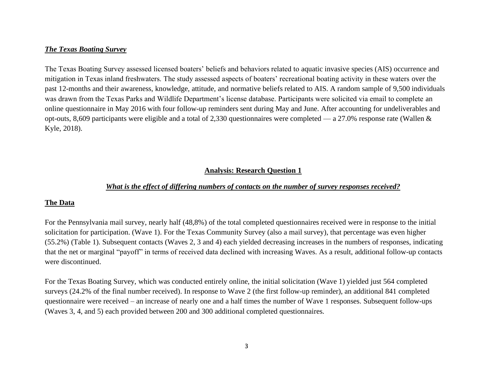# *The Texas Boating Survey*

The Texas Boating Survey assessed licensed boaters' beliefs and behaviors related to aquatic invasive species (AIS) occurrence and mitigation in Texas inland freshwaters. The study assessed aspects of boaters' recreational boating activity in these waters over the past 12-months and their awareness, knowledge, attitude, and normative beliefs related to AIS. A random sample of 9,500 individuals was drawn from the Texas Parks and Wildlife Department's license database. Participants were solicited via email to complete an online questionnaire in May 2016 with four follow-up reminders sent during May and June. After accounting for undeliverables and opt-outs, 8,609 participants were eligible and a total of 2,330 questionnaires were completed — a 27.0% response rate (Wallen  $\&$ Kyle, 2018).

# **Analysis: Research Question 1**

### *What is the effect of differing numbers of contacts on the number of survey responses received?*

# **The Data**

For the Pennsylvania mail survey, nearly half (48,8%) of the total completed questionnaires received were in response to the initial solicitation for participation. (Wave 1). For the Texas Community Survey (also a mail survey), that percentage was even higher (55.2%) (Table 1). Subsequent contacts (Waves 2, 3 and 4) each yielded decreasing increases in the numbers of responses, indicating that the net or marginal "payoff" in terms of received data declined with increasing Waves. As a result, additional follow-up contacts were discontinued.

For the Texas Boating Survey, which was conducted entirely online, the initial solicitation (Wave 1) yielded just 564 completed surveys (24.2% of the final number received). In response to Wave 2 (the first follow-up reminder), an additional 841 completed questionnaire were received – an increase of nearly one and a half times the number of Wave 1 responses. Subsequent follow-ups (Waves 3, 4, and 5) each provided between 200 and 300 additional completed questionnaires.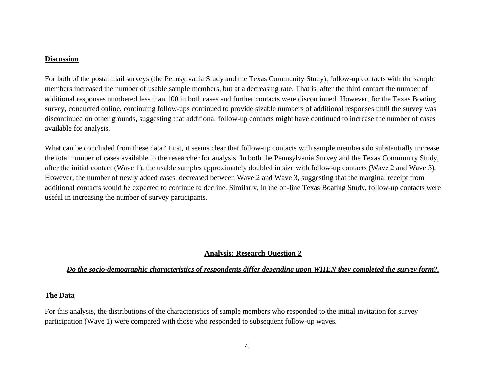#### **Discussion**

For both of the postal mail surveys (the Pennsylvania Study and the Texas Community Study), follow-up contacts with the sample members increased the number of usable sample members, but at a decreasing rate. That is, after the third contact the number of additional responses numbered less than 100 in both cases and further contacts were discontinued. However, for the Texas Boating survey, conducted online, continuing follow-ups continued to provide sizable numbers of additional responses until the survey was discontinued on other grounds, suggesting that additional follow-up contacts might have continued to increase the number of cases available for analysis.

What can be concluded from these data? First, it seems clear that follow-up contacts with sample members do substantially increase the total number of cases available to the researcher for analysis. In both the Pennsylvania Survey and the Texas Community Study, after the initial contact (Wave 1), the usable samples approximately doubled in size with follow-up contacts (Wave 2 and Wave 3). However, the number of newly added cases, decreased between Wave 2 and Wave 3, suggesting that the marginal receipt from additional contacts would be expected to continue to decline. Similarly, in the on-line Texas Boating Study, follow-up contacts were useful in increasing the number of survey participants.

# **Analysis: Research Question 2**

# *Do the socio-demographic characteristics of respondents differ depending upon WHEN they completed the survey form?.*

### **The Data**

For this analysis, the distributions of the characteristics of sample members who responded to the initial invitation for survey participation (Wave 1) were compared with those who responded to subsequent follow-up waves.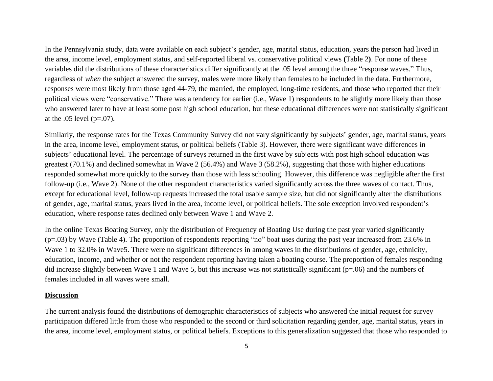In the Pennsylvania study, data were available on each subject's gender, age, marital status, education, years the person had lived in the area, income level, employment status, and self-reported liberal vs. conservative political views **(**Table 2**)**. For none of these variables did the distributions of these characteristics differ significantly at the .05 level among the three "response waves." Thus, regardless of *when* the subject answered the survey, males were more likely than females to be included in the data. Furthermore, responses were most likely from those aged 44-79, the married, the employed, long-time residents, and those who reported that their political views were "conservative." There was a tendency for earlier (i.e., Wave 1) respondents to be slightly more likely than those who answered later to have at least some post high school education, but these educational differences were not statistically significant at the  $.05$  level (p= $.07$ ).

Similarly, the response rates for the Texas Community Survey did not vary significantly by subjects' gender, age, marital status, years in the area, income level, employment status, or political beliefs (Table 3). However, there were significant wave differences in subjects' educational level. The percentage of surveys returned in the first wave by subjects with post high school education was greatest (70.1%) and declined somewhat in Wave 2 (56.4%) and Wave 3 (58.2%), suggesting that those with higher educations responded somewhat more quickly to the survey than those with less schooling. However, this difference was negligible after the first follow-up (i.e., Wave 2). None of the other respondent characteristics varied significantly across the three waves of contact. Thus, except for educational level, follow-up requests increased the total usable sample size, but did not significantly alter the distributions of gender, age, marital status, years lived in the area, income level, or political beliefs. The sole exception involved respondent's education, where response rates declined only between Wave 1 and Wave 2.

In the online Texas Boating Survey, only the distribution of Frequency of Boating Use during the past year varied significantly (p=.03) by Wave (Table 4). The proportion of respondents reporting "no" boat uses during the past year increased from 23.6% in Wave 1 to 32.0% in Wave5. There were no significant differences in among waves in the distributions of gender, age, ethnicity, education, income, and whether or not the respondent reporting having taken a boating course. The proportion of females responding did increase slightly between Wave 1 and Wave 5, but this increase was not statistically significant (p=.06) and the numbers of females included in all waves were small.

### **Discussion**

The current analysis found the distributions of demographic characteristics of subjects who answered the initial request for survey participation differed little from those who responded to the second or third solicitation regarding gender, age, marital status, years in the area, income level, employment status, or political beliefs. Exceptions to this generalization suggested that those who responded to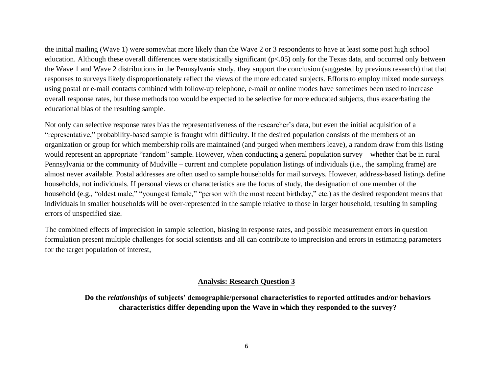the initial mailing (Wave 1) were somewhat more likely than the Wave 2 or 3 respondents to have at least some post high school education. Although these overall differences were statistically significant (p<.05) only for the Texas data, and occurred only between the Wave 1 and Wave 2 distributions in the Pennsylvania study, they support the conclusion (suggested by previous research) that that responses to surveys likely disproportionately reflect the views of the more educated subjects. Efforts to employ mixed mode surveys using postal or e-mail contacts combined with follow-up telephone, e-mail or online modes have sometimes been used to increase overall response rates, but these methods too would be expected to be selective for more educated subjects, thus exacerbating the educational bias of the resulting sample.

Not only can selective response rates bias the representativeness of the researcher's data, but even the initial acquisition of a "representative," probability-based sample is fraught with difficulty. If the desired population consists of the members of an organization or group for which membership rolls are maintained (and purged when members leave), a random draw from this listing would represent an appropriate "random" sample. However, when conducting a general population survey – whether that be in rural Pennsylvania or the community of Mudville – current and complete population listings of individuals (i.e., the sampling frame) are almost never available. Postal addresses are often used to sample households for mail surveys. However, address-based listings define households, not individuals. If personal views or characteristics are the focus of study, the designation of one member of the household (e.g., "oldest male," "youngest female," "person with the most recent birthday," etc.) as the desired respondent means that individuals in smaller households will be over-represented in the sample relative to those in larger household, resulting in sampling errors of unspecified size.

The combined effects of imprecision in sample selection, biasing in response rates, and possible measurement errors in question formulation present multiple challenges for social scientists and all can contribute to imprecision and errors in estimating parameters for the target population of interest,

### **Analysis: Research Question 3**

**Do the** *relationships* **of subjects' demographic/personal characteristics to reported attitudes and/or behaviors characteristics differ depending upon the Wave in which they responded to the survey?**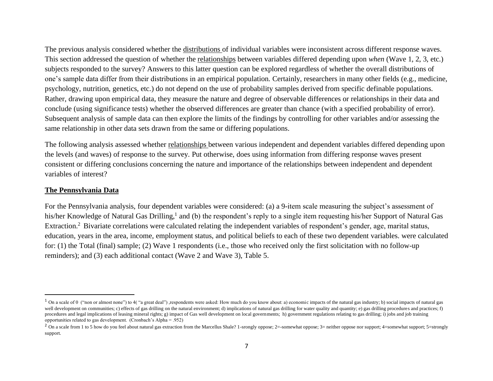The previous analysis considered whether the distributions of individual variables were inconsistent across different response waves. This section addressed the question of whether the relationships between variables differed depending upon *when* (Wave 1, 2, 3, etc.) subjects responded to the survey? Answers to this latter question can be explored regardless of whether the overall distributions of one's sample data differ from their distributions in an empirical population. Certainly, researchers in many other fields (e.g., medicine, psychology, nutrition, genetics, etc.) do not depend on the use of probability samples derived from specific definable populations. Rather, drawing upon empirical data, they measure the nature and degree of observable differences or relationships in their data and conclude (using significance tests) whether the observed differences are greater than chance (with a specified probability of error). Subsequent analysis of sample data can then explore the limits of the findings by controlling for other variables and/or assessing the same relationship in other data sets drawn from the same or differing populations.

The following analysis assessed whether relationships between various independent and dependent variables differed depending upon the levels (and waves) of response to the survey. Put otherwise, does using information from differing response waves present consistent or differing conclusions concerning the nature and importance of the relationships between independent and dependent variables of interest?

### **The Pennsylvania Data**

For the Pennsylvania analysis, four dependent variables were considered: (a) a 9-item scale measuring the subject's assessment of his/her Knowledge of Natural Gas Drilling,<sup>1</sup> and (b) the respondent's reply to a single item requesting his/her Support of Natural Gas Extraction.<sup>2</sup> Bivariate correlations were calculated relating the independent variables of respondent's gender, age, marital status, education, years in the area, income, employment status, and political beliefs to each of these two dependent variables. were calculated for: (1) the Total (final) sample; (2) Wave 1 respondents (i.e., those who received only the first solicitation with no follow-up reminders); and (3) each additional contact (Wave 2 and Wave 3), Table 5.

<sup>&</sup>lt;sup>1</sup> On a scale of 0 ("non or almost none") to 4("a great deal") ,respondents were asked: How much do you know about: a) economic impacts of the natural gas industry; b) social impacts of natural gas well development on communities; c) effects of gas drilling on the natural environment; d) implications of natural gas drilling for water quality and quantity; e) gas drilling procedures and practices; f) procedures and legal implications of leasing mineral rights; g) impact of Gas well development on local governments; h) government regulations relating to gas drilling; i) jobs and job training opportunities related to gas development. (Cronbach's Alpha = .952)

<sup>&</sup>lt;sup>2</sup> On a scale from 1 to 5 how do you feel about natural gas extraction from the Marcellus Shale? 1-srongly oppose; 2=-somewhat oppose; 3= neither oppose nor support; 4=somewhat support; 5=strongly support.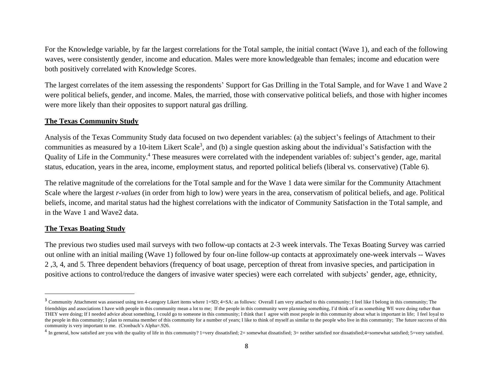For the Knowledge variable, by far the largest correlations for the Total sample, the initial contact (Wave 1), and each of the following waves, were consistently gender, income and education. Males were more knowledgeable than females; income and education were both positively correlated with Knowledge Scores.

The largest correlates of the item assessing the respondents' Support for Gas Drilling in the Total Sample, and for Wave 1 and Wave 2 were political beliefs, gender, and income. Males, the married, those with conservative political beliefs, and those with higher incomes were more likely than their opposites to support natural gas drilling.

# **The Texas Community Study**

Analysis of the Texas Community Study data focused on two dependent variables: (a) the subject's feelings of Attachment to their communities as measured by a 10-item Likert Scale<sup>3</sup>, and (b) a single question asking about the individual's Satisfaction with the Quality of Life in the Community.<sup>4</sup> These measures were correlated with the independent variables of: subject's gender, age, marital status, education, years in the area, income, employment status, and reported political beliefs (liberal vs. conservative) (Table 6).

The relative magnitude of the correlations for the Total sample and for the Wave 1 data were similar for the Community Attachment Scale where the largest *r-values* (in order from high to low) were years in the area, conservatism of political beliefs, and age. Political beliefs, income, and marital status had the highest correlations with the indicator of Community Satisfaction in the Total sample, and in the Wave 1 and Wave2 data.

### **The Texas Boating Study**

The previous two studies used mail surveys with two follow-up contacts at 2-3 week intervals. The Texas Boating Survey was carried out online with an initial mailing (Wave 1) followed by four on-line follow-up contacts at approximately one-week intervals -- Waves 2 ,3, 4, and 5. Three dependent behaviors (frequency of boat usage, perception of threat from invasive species, and participation in positive actions to control/reduce the dangers of invasive water species) were each correlated with subjects' gender, age, ethnicity,

<sup>&</sup>lt;sup>3</sup> Community Attachment was assessed using ten 4-category Likert items where 1=SD; 4=SA: as follows: Overall I am very attached to this community; I feel like I belong in this community; The friendships and associations I have with people in this community mean a lot to me; If the people in this community were planning something, I'd think of it as something WE were doing rather than THEY were doing; If I needed advice about something, I could go to someone in this community; I think that I agree with most people in this community about what is important in life; I feel loyal to the people in this community; I plan to remaina member of this community for a number of years; I like to think of myself as similar to the people who live in this community; The future success of this community is very important to me. (Cronbach's Alpha=.926.

<sup>&</sup>lt;sup>4</sup> In general, how satisfied are you with the quality of life in this community? 1=very dissatisfied; 2= somewhat dissatisfied; 3= neither satisfied nor dissatisfied; 4=somewhat satisfied; 5=very satisfied.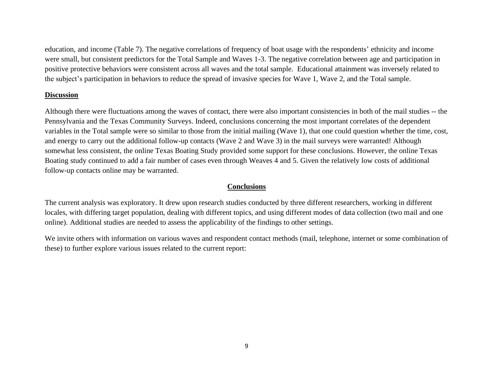education, and income (Table 7). The negative correlations of frequency of boat usage with the respondents' ethnicity and income were small, but consistent predictors for the Total Sample and Waves 1-3. The negative correlation between age and participation in positive protective behaviors were consistent across all waves and the total sample. Educational attainment was inversely related to the subject's participation in behaviors to reduce the spread of invasive species for Wave 1, Wave 2, and the Total sample.

## **Discussion**

Although there were fluctuations among the waves of contact, there were also important consistencies in both of the mail studies -- the Pennsylvania and the Texas Community Surveys. Indeed, conclusions concerning the most important correlates of the dependent variables in the Total sample were so similar to those from the initial mailing (Wave 1), that one could question whether the time, cost, and energy to carry out the additional follow-up contacts (Wave 2 and Wave 3) in the mail surveys were warranted! Although somewhat less consistent, the online Texas Boating Study provided some support for these conclusions. However, the online Texas Boating study continued to add a fair number of cases even through Weaves 4 and 5. Given the relatively low costs of additional follow-up contacts online may be warranted.

# **Conclusions**

The current analysis was exploratory. It drew upon research studies conducted by three different researchers, working in different locales, with differing target population, dealing with different topics, and using different modes of data collection (two mail and one online). Additional studies are needed to assess the applicability of the findings to other settings.

We invite others with information on various waves and respondent contact methods (mail, telephone, internet or some combination of these) to further explore various issues related to the current report: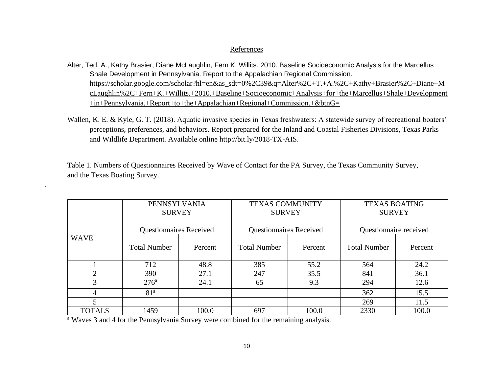### References

- Alter, Ted. A., Kathy Brasier, Diane McLaughlin, Fern K. Willits. 2010. Baseline Socioeconomic Analysis for the Marcellus Shale Development in Pennsylvania. Report to the Appalachian Regional Commission. [https://scholar.google.com/scholar?hl=en&as\\_sdt=0%2C39&q=Alter%2C+T.+A.%2C+Kathy+Brasier%2C+Diane+M](https://scholar.google.com/scholar?hl=en&as_sdt=0%2C39&q=Alter%2C+T.+A.%2C+Kathy+Brasier%2C+Diane+McLaughlin%2C+Fern+K.+Willits.+2010.+Baseline+Socioeconomic+Analysis+for+the+Marcellus+Shale+Development+in+Pennsylvania.+Report+to+the+Appalachian+Regional+Commission.+&btnG=) [cLaughlin%2C+Fern+K.+Willits.+2010.+Baseline+Socioeconomic+Analysis+for+the+Marcellus+Shale+Development](https://scholar.google.com/scholar?hl=en&as_sdt=0%2C39&q=Alter%2C+T.+A.%2C+Kathy+Brasier%2C+Diane+McLaughlin%2C+Fern+K.+Willits.+2010.+Baseline+Socioeconomic+Analysis+for+the+Marcellus+Shale+Development+in+Pennsylvania.+Report+to+the+Appalachian+Regional+Commission.+&btnG=) [+in+Pennsylvania.+Report+to+the+Appalachian+Regional+Commission.+&btnG=](https://scholar.google.com/scholar?hl=en&as_sdt=0%2C39&q=Alter%2C+T.+A.%2C+Kathy+Brasier%2C+Diane+McLaughlin%2C+Fern+K.+Willits.+2010.+Baseline+Socioeconomic+Analysis+for+the+Marcellus+Shale+Development+in+Pennsylvania.+Report+to+the+Appalachian+Regional+Commission.+&btnG=)
- Wallen, K. E. & Kyle, G. T. (2018). Aquatic invasive species in Texas freshwaters: A statewide survey of recreational boaters' perceptions, preferences, and behaviors. Report prepared for the Inland and Coastal Fisheries Divisions, Texas Parks and Wildlife Department. Available online http://bit.ly/2018-TX-AIS.

Table 1. Numbers of Questionnaires Received by Wave of Contact for the PA Survey, the Texas Community Survey, and the Texas Boating Survey.

|               | PENNSYLVANIA<br><b>SURVEY</b>  |         | <b>TEXAS COMMUNITY</b><br><b>SURVEY</b> |         | <b>TEXAS BOATING</b><br><b>SURVEY</b> |         |  |
|---------------|--------------------------------|---------|-----------------------------------------|---------|---------------------------------------|---------|--|
|               | <b>Questionnaires Received</b> |         | <b>Questionnaires Received</b>          |         | Questionnaire received                |         |  |
| <b>WAVE</b>   | <b>Total Number</b>            | Percent | <b>Total Number</b>                     | Percent | <b>Total Number</b>                   | Percent |  |
|               | 712                            | 48.8    | 385                                     | 55.2    | 564                                   | 24.2    |  |
| ◠             | 390                            | 27.1    | 247                                     | 35.5    | 841                                   | 36.1    |  |
| 3             | 276 <sup>a</sup>               | 24.1    | 65                                      | 9.3     | 294                                   | 12.6    |  |
| 4             | 81 <sup>a</sup>                |         |                                         |         | 362                                   | 15.5    |  |
|               |                                |         |                                         |         | 269                                   | 11.5    |  |
| <b>TOTALS</b> | 1459                           | 100.0   | 697                                     | 100.0   | 2330                                  | 100.0   |  |

<sup>a</sup> Waves 3 and 4 for the Pennsylvania Survey were combined for the remaining analysis.

.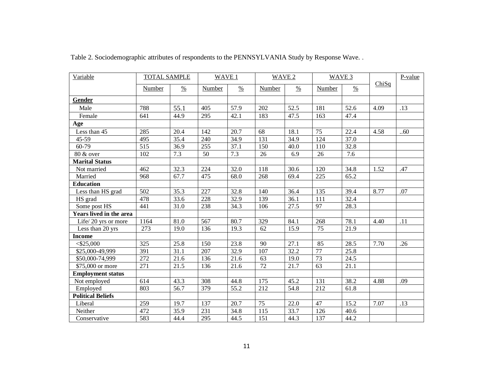| Variable                 | <b>TOTAL SAMPLE</b> |               | WAVE 1 |               | WAVE 2 |               | WAVE 3 |               |       | $P-value$ |
|--------------------------|---------------------|---------------|--------|---------------|--------|---------------|--------|---------------|-------|-----------|
|                          | Number              | $\frac{0}{0}$ | Number | $\frac{0}{0}$ | Number | $\frac{0}{0}$ | Number | $\frac{0}{0}$ | ChiSq |           |
| Gender                   |                     |               |        |               |        |               |        |               |       |           |
| Male                     | 788                 | 55.1          | 405    | 57.9          | 202    | 52.5          | 181    | 52.6          | 4.09  | .13       |
| Female                   | 641                 | 44.9          | 295    | 42.1          | 183    | 47.5          | 163    | 47.4          |       |           |
| Age                      |                     |               |        |               |        |               |        |               |       |           |
| Less than 45             | 285                 | 20.4          | 142    | 20.7          | 68     | 18.1          | 75     | 22.4          | 4.58  | .60       |
| $45 - 59$                | 495                 | 35.4          | 240    | 34.9          | 131    | 34.9          | 124    | 37.0          |       |           |
| $60 - 79$                | 515                 | 36.9          | 255    | 37.1          | 150    | 40.0          | 110    | 32.8          |       |           |
| 80 & over                | 102                 | 7.3           | 50     | 7.3           | 26     | 6.9           | 26     | 7.6           |       |           |
| <b>Marital Status</b>    |                     |               |        |               |        |               |        |               |       |           |
| Not married              | 462                 | 32.3          | 224    | 32.0          | 118    | 30.6          | 120    | 34.8          | 1.52  | .47       |
| Married                  | 968                 | 67.7          | 475    | 68.0          | 268    | 69.4          | 225    | 65.2          |       |           |
| <b>Education</b>         |                     |               |        |               |        |               |        |               |       |           |
| Less than HS grad        | 502                 | 35.3          | 227    | 32.8          | 140    | 36.4          | 135    | 39.4          | 8.77  | .07       |
| HS grad                  | 478                 | 33.6          | 228    | 32.9          | 139    | 36.1          | 111    | 32.4          |       |           |
| Some post HS             | 441                 | 31.0          | 238    | 34.3          | 106    | 27.5          | 97     | 28.3          |       |           |
| Years lived in the area  |                     |               |        |               |        |               |        |               |       |           |
| Life/20 yrs or more      | 1164                | 81.0          | 567    | 80.7          | 329    | 84.1          | 268    | 78.1          | 4.40  | .11       |
| Less than 20 yrs         | 273                 | 19.0          | 136    | 19.3          | 62     | 15.9          | 75     | 21.9          |       |           |
| <b>Income</b>            |                     |               |        |               |        |               |        |               |       |           |
| $<$ \$25,000             | 325                 | 25.8          | 150    | 23.8          | 90     | 27.1          | 85     | 28.5          | 7.70  | .26       |
| \$25,000-49,999          | 391                 | 31.1          | 207    | 32.9          | 107    | 32.2          | 77     | 25.8          |       |           |
| \$50,000-74,999          | 272                 | 21.6          | 136    | 21.6          | 63     | 19.0          | 73     | 24.5          |       |           |
| \$75,000 or more         | 271                 | 21.5          | 136    | 21.6          | 72     | 21.7          | 63     | 21.1          |       |           |
| <b>Employment status</b> |                     |               |        |               |        |               |        |               |       |           |
| Not employed             | 614                 | 43.3          | 308    | 44.8          | 175    | 45.2          | 131    | 38.2          | 4.88  | .09       |
| Employed                 | 803                 | 56.7          | 379    | 55.2          | 212    | 54.8          | 212    | 61.8          |       |           |
| <b>Political Beliefs</b> |                     |               |        |               |        |               |        |               |       |           |
| Liberal                  | 259                 | 19.7          | 137    | 20.7          | 75     | 22.0          | 47     | 15.2          | 7.07  | .13       |
| Neither                  | 472                 | 35.9          | 231    | 34.8          | 115    | 33.7          | 126    | 40.6          |       |           |
| Conservative             | 583                 | 44.4          | 295    | 44.5          | 151    | 44.3          | 137    | 44.2          |       |           |

Table 2. Sociodemographic attributes of respondents to the PENNSYLVANIA Study by Response Wave. .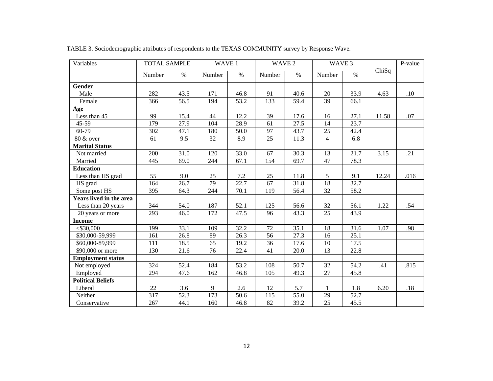| Variables                | <b>TOTAL SAMPLE</b> |      | WAVE 1 |      | WAVE 2 |      | WAVE 3       |      |       | P-value |
|--------------------------|---------------------|------|--------|------|--------|------|--------------|------|-------|---------|
|                          | Number              | $\%$ | Number | $\%$ | Number | $\%$ | Number       | $\%$ | ChiSq |         |
| Gender                   |                     |      |        |      |        |      |              |      |       |         |
| Male                     | 282                 | 43.5 | 171    | 46.8 | 91     | 40.6 | 20           | 33.9 | 4.63  | .10     |
| Female                   | 366                 | 56.5 | 194    | 53.2 | 133    | 59.4 | 39           | 66.1 |       |         |
| Age                      |                     |      |        |      |        |      |              |      |       |         |
| Less than 45             | 99                  | 15.4 | 44     | 12.2 | 39     | 17.6 | 16           | 27.1 | 11.58 | .07     |
| 45-59                    | 179                 | 27.9 | 104    | 28.9 | 61     | 27.5 | 14           | 23.7 |       |         |
| $60 - 79$                | 302                 | 47.1 | 180    | 50.0 | 97     | 43.7 | 25           | 42.4 |       |         |
| 80 & over                | 61                  | 9.5  | 32     | 8.9  | 25     | 11.3 | 4            | 6.8  |       |         |
| <b>Marital Status</b>    |                     |      |        |      |        |      |              |      |       |         |
| Not married              | 200                 | 31.0 | 120    | 33.0 | 67     | 30.3 | 13           | 21.7 | 3.15  | .21     |
| Married                  | 445                 | 69.0 | 244    | 67.1 | 154    | 69.7 | 47           | 78.3 |       |         |
| <b>Education</b>         |                     |      |        |      |        |      |              |      |       |         |
| Less than HS grad        | 55                  | 9.0  | 25     | 7.2  | 25     | 11.8 | 5            | 9.1  | 12.24 | .016    |
| HS grad                  | 164                 | 26.7 | 79     | 22.7 | 67     | 31.8 | 18           | 32.7 |       |         |
| Some post HS             | 395                 | 64.3 | 244    | 70.1 | 119    | 56.4 | 32           | 58.2 |       |         |
| Years lived in the area  |                     |      |        |      |        |      |              |      |       |         |
| Less than 20 years       | 344                 | 54.0 | 187    | 52.1 | 125    | 56.6 | 32           | 56.1 | 1.22  | .54     |
| 20 years or more         | 293                 | 46.0 | 172    | 47.5 | 96     | 43.3 | 25           | 43.9 |       |         |
| <b>Income</b>            |                     |      |        |      |        |      |              |      |       |         |
| $<$ \$30,000             | 199                 | 33.1 | 109    | 32.2 | $72\,$ | 35.1 | 18           | 31.6 | 1.07  | .98     |
| \$30,000-59,999          | 161                 | 26.8 | 89     | 26.3 | 56     | 27.3 | 16           | 25.1 |       |         |
| \$60,000-89,999          | 111                 | 18.5 | 65     | 19.2 | 36     | 17.6 | 10           | 17.5 |       |         |
| \$90,000 or more         | 130                 | 21.6 | 76     | 22.4 | 41     | 20.0 | 13           | 22.8 |       |         |
| <b>Employment status</b> |                     |      |        |      |        |      |              |      |       |         |
| Not employed             | 324                 | 52.4 | 184    | 53.2 | 108    | 50.7 | 32           | 54.2 | .41   | .815    |
| Employed                 | 294                 | 47.6 | 162    | 46.8 | 105    | 49.3 | 27           | 45.8 |       |         |
| <b>Political Beliefs</b> |                     |      |        |      |        |      |              |      |       |         |
| Liberal                  | 22                  | 3.6  | 9      | 2.6  | 12     | 5.7  | $\mathbf{1}$ | 1.8  | 6.20  | $.18\,$ |
| Neither                  | 317                 | 52.3 | 173    | 50.6 | 115    | 55.0 | 29           | 52.7 |       |         |
| Conservative             | 267                 | 44.1 | 160    | 46.8 | 82     | 39.2 | 25           | 45.5 |       |         |

TABLE 3. Sociodemographic attributes of respondents to the TEXAS COMMUNITY survey by Response Wave.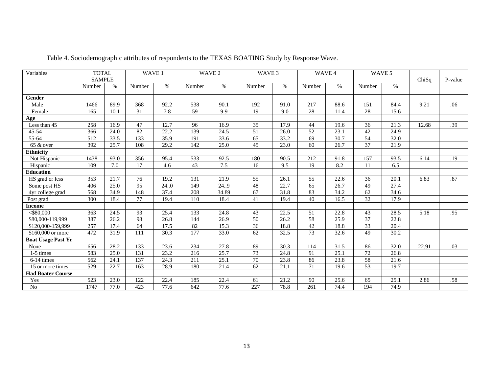| Variables                      | <b>TOTAL</b><br><b>SAMPLE</b> |                   | WAVE 1<br>WAVE 2 |                   | WAVE <sub>3</sub> |       | WAVE 4          |      | WAVE 5          |                   |                 |      |       |         |
|--------------------------------|-------------------------------|-------------------|------------------|-------------------|-------------------|-------|-----------------|------|-----------------|-------------------|-----------------|------|-------|---------|
|                                | Number                        | $\%$              | Number           | $\%$              | Number            | $\%$  | Number          | $\%$ | Number          | $\frac{0}{0}$     | Number          | $\%$ | ChiSq | P-value |
|                                |                               |                   |                  |                   |                   |       |                 |      |                 |                   |                 |      |       |         |
| Gender                         |                               |                   |                  |                   |                   |       |                 |      |                 |                   |                 |      |       |         |
| Male                           | 1466                          | 89.9              | 368              | 92.2              | 538               | 90.1  | 192             | 91.0 | 217             | 88.6              | 151             | 84.4 | 9.21  | .06     |
| Female                         | 165                           | 10.1              | 31               | 7.8               | 59                | 9.9   | 19              | 9.0  | 28              | 11.4              | 28              | 15.6 |       |         |
| Age                            |                               |                   |                  |                   |                   |       |                 |      |                 |                   |                 |      |       |         |
| Less than $\overline{45}$      | 258                           | 16.9              | 47               | 12.7              | 96                | 16.9  | 35              | 17.9 | 44              | 19.6              | 36              | 21.3 | 12.68 | .39     |
| 45-54                          | 366                           | 24.0              | 82               | 22.2              | 139               | 24.5  | $\overline{51}$ | 26.0 | 52              | $\overline{23.1}$ | 42              | 24.9 |       |         |
| 55-64                          | 512                           | 33.5              | 133              | 35.9              | 191               | 33.6  | 65              | 33.2 | 69              | 30.7              | 54              | 32.0 |       |         |
| 65 & over                      | 392                           | 25.7              | 108              | 29.2              | 142               | 25.0  | 45              | 23.0 | 60              | 26.7              | 37              | 21.9 |       |         |
| <b>Ethnicity</b>               |                               |                   |                  |                   |                   |       |                 |      |                 |                   |                 |      |       |         |
| Not Hispanic                   | 1438                          | 93.0              | 356              | 95.4              | 533               | 92.5  | 180             | 90.5 | 212             | 91.8              | 157             | 93.5 | 6.14  | .19     |
| Hispanic                       | 109                           | 7.0               | 17               | 4.6               | 43                | 7.5   | 16              | 9.5  | 19              | 8.2               | 11              | 6.5  |       |         |
| <b>Education</b>               |                               |                   |                  |                   |                   |       |                 |      |                 |                   |                 |      |       |         |
| HS grad or less                | $\overline{353}$              | $\overline{21.7}$ | $\overline{76}$  | 19.2              | 131               | 21.9  | $\overline{55}$ | 26.1 | $\overline{55}$ | 22.6              | $\overline{36}$ | 20.1 | 6.83  | .87     |
| Some post HS                   | 406                           | 25.0              | 95               | 24.0              | 149               | 24.9  | 48              | 22.7 | 65              | 26.7              | 49              | 27.4 |       |         |
| $4$ yr college grad            | 568                           | 34.9              | 148              | 37.4              | 208               | 34.89 | 67              | 31.8 | 83              | 34.2              | 62              | 34.6 |       |         |
| Post grad                      | 300                           | 18.4              | $\overline{77}$  | 19.4              | 110               | 18.4  | 41              | 19.4 | 40              | 16.5              | $\overline{32}$ | 17.9 |       |         |
| <b>Income</b>                  |                               |                   |                  |                   |                   |       |                 |      |                 |                   |                 |      |       |         |
| $<$ \$80,000                   | 363                           | 24.5              | 93               | 25.4              | 133               | 24.8  | 43              | 22.5 | 51              | 22.8              | 43              | 28.5 | 5.18  | .95     |
| \$80,000-119,999               | 387                           | 26.2              | 98               | 26.8              | 144               | 26.9  | 50              | 26.2 | 58              | 25.9              | 37              | 22.8 |       |         |
| $\overline{$120,000}$ -159,999 | 257                           | 17.4              | 64               | 17.5              | 82                | 15.3  | 36              | 18.8 | 42              | 18.8              | 33              | 20.4 |       |         |
| \$160,000 or more              | 472                           | 31.9              | 111              | 30.3              | $\overline{177}$  | 33.0  | 62              | 32.5 | $\overline{73}$ | 32.6              | 49              | 30.2 |       |         |
| <b>Boat Usage Past Yr</b>      |                               |                   |                  |                   |                   |       |                 |      |                 |                   |                 |      |       |         |
| None                           | 656                           | 28.2              | 133              | 23.6              | 234               | 27.8  | 89              | 30.3 | 114             | 31.5              | 86              | 32.0 | 22.91 | .03     |
| 1-5 times                      | 583                           | 25.0              | 131              | 23.2              | 216               | 25.7  | 73              | 24.8 | 91              | 25.1              | 72              | 26.8 |       |         |
| 6-14 times                     | $\overline{562}$              | 24.1              | 137              | $\overline{24.3}$ | $\overline{211}$  | 25.1  | 70              | 23.8 | 86              | 23.8              | 58              | 21.6 |       |         |
| 15 or more times               | 529                           | 22.7              | 163              | 28.9              | 180               | 21.4  | 62              | 21.1 | 71              | 19.6              | 53              | 19.7 |       |         |
| <b>Had Boater Course</b>       |                               |                   |                  |                   |                   |       |                 |      |                 |                   |                 |      |       |         |
| Yes                            | 523                           | 23.0              | 122              | 22.4              | 185               | 22.4  | 61              | 21.2 | 90              | 25.6              | 65              | 25.1 | 2.86  | .58     |
| $\rm No$                       | 1747                          | 77.0              | 423              | 77.6              | 642               | 77.6  | 227             | 78.8 | 261             | 74.4              | 194             | 74.9 |       |         |

Table 4. Sociodemographic attributes of respondents to the TEXAS BOATING Study by Response Wave.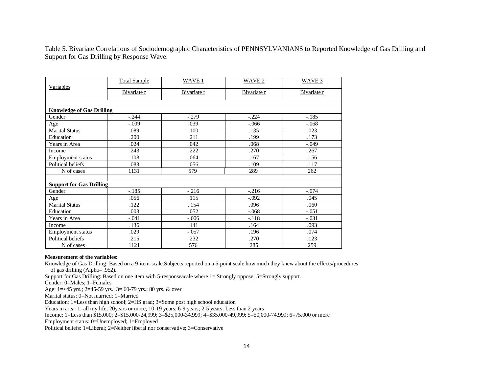Table 5. Bivariate Correlations of Sociodemographic Characteristics of PENNSYLVANIANS to Reported Knowledge of Gas Drilling and Support for Gas Drilling by Response Wave.

|                                  | <b>Total Sample</b> | WAVE 1      | WAVE <sub>2</sub> | WAVE <sub>3</sub><br>Bivariate r |  |
|----------------------------------|---------------------|-------------|-------------------|----------------------------------|--|
| Variables                        | Bivariate r         | Bivariate r | Bivariate r       |                                  |  |
|                                  |                     |             |                   |                                  |  |
| <b>Knowledge of Gas Drilling</b> |                     |             |                   |                                  |  |
| Gender                           | $-.244$             | $-.279$     | $-.224$           | $-.185$                          |  |
| Age                              | $-.009$             | .039        | $-.066$           | $-.068$                          |  |
| <b>Marital Status</b>            | .089                | .100        | .135              | .023                             |  |
| Education                        | .200                | .211        | .199              | .173                             |  |
| Years in Area                    | .024                | .042        | .068              | $-.049$                          |  |
| Income                           | .243                | .222        | .270              | .267                             |  |
| <b>Employment</b> status         | .108                | .064        | .167              | .156                             |  |
| Political beliefs                | .083                | .056        | .109              | .117                             |  |
| N of cases                       | 1131                | 579         | 289               | 262                              |  |
| <b>Support for Gas Drilling</b>  |                     |             |                   |                                  |  |
| Gender                           | $-.185$             | $-.216$     | $-.216$           | $-.074$                          |  |
| Age                              | .056                | .115        | $-.092$           | .045                             |  |
| <b>Marital Status</b>            | .122                | . 154       | .096              | .060                             |  |
| Education                        | .003                | .052        | $-.068$           | $-.051$                          |  |
| Years in Area                    | $-.041$             | $-.006$     | $-.118$           | $-.031$                          |  |
| Income                           | .136                | .141        | .164              | .093                             |  |
| <b>Employment status</b>         | .029                | $-.057$     | .196              | .074                             |  |
| Political beliefs                | .215                | .232        | .270              | .123                             |  |
| N of cases                       | 1121                | 576         | 285               | 259                              |  |

#### **Measurement of the variables:**

Knowledge of Gas Drilling: Based on a 9-item-scale.Subjects reported on a 5-point scale how much they knew about the effects/procedures of gas drilling (Alpha= .952).

Support for Gas Drilling: Based on one item with 5-responseacale where 1= Strongly oppose; 5=Strongly support.

Gender: 0=Males; 1=Females

Age: 1=<45 yrs.; 2=45-59 yrs.; 3= 60-79 yrs.; 80 yrs. & over

Marital status: 0=Not married; 1=Married

Education: 1=Less than high school; 2=HS grad; 3=Some post high school education

Years in area: 1=all my life; 20 years or more; 10-19 years; 6-9 years; 2-5 years; Less than 2 years

Income: 1=Less than \$15,000; 2=\$15,000-24,999; 3=\$25,000-34,999; 4=\$35,000-49,999; 5=50,000-74,999; 6=75.000 or more

Employment status: 0=Unemployed; 1=Employed

Political beliefs: 1=Liberal; 2=Neither liberal nor conservative; 3=Conservative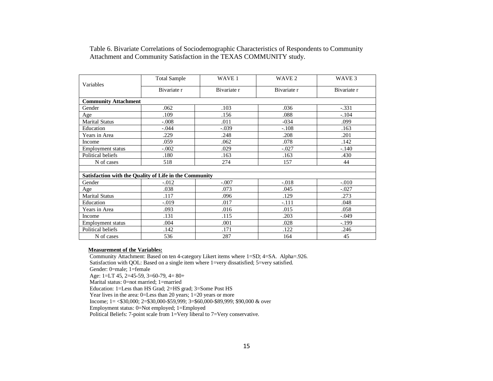|                                                        | <b>Total Sample</b> | WAVE 1      | WAVE 2      | WAVE <sub>3</sub> |
|--------------------------------------------------------|---------------------|-------------|-------------|-------------------|
| Variables                                              | Bivariate r         | Bivariate r | Bivariate r | Bivariate r       |
| <b>Community Attachment</b>                            |                     |             |             |                   |
| Gender                                                 | .062                | .103        | .036        | $-.331$           |
| Age                                                    | .109                | .156        | .088        | $-.104$           |
| <b>Marital Status</b>                                  | $-.008$             | .011        | $-034$      | .099              |
| Education                                              | $-.044$             | $-.039$     | $-.108$     | .163              |
| Years in Area                                          | .229                | .248        | .208        | .201              |
| Income                                                 | .059                | .062        | .078        | .142              |
| Employment status                                      | $-.002$             | .029        | $-.027$     | $-.140$           |
| Political beliefs                                      | .180                | .163        | .163        | .430              |
| N of cases                                             | 518                 | 274         | 157         | 44                |
|                                                        |                     |             |             |                   |
| Satisfaction with the Quality of Life in the Community |                     |             |             |                   |
| Gender                                                 | $-.012$             | $-.007$     | $-.018$     | $-.010$           |
| Age                                                    | .038                | .073        | .045        | $-.027$           |
| <b>Marital Status</b>                                  | .117                | .096        | .129        | .273              |
| Education                                              | $-.019$             | .017        | $-.111$     | .048              |
| Years in Area                                          | .093                | .016        | .015        | .058              |
| Income                                                 | .131                | .115        | .203        | $-.049$           |
| <b>Employment</b> status                               | .004                | .001        | .028        | $-.199$           |
| Political beliefs                                      | .142                | .171        | .122        | .246              |
| N of cases                                             | 536                 | 287         | 164         | 45                |

Table 6. Bivariate Correlations of Sociodemographic Characteristics of Respondents to Community Attachment and Community Satisfaction in the TEXAS COMMUNITY study.

#### **Measurement of the Variables:**

Community Attachment: Based on ten 4-category Likert items where 1=SD; 4=SA. Alpha=.926. Satisfaction with QOL: Based on a single item where 1=very dissatisfied; 5=very satisfied. Gender: 0=male; 1=female Age: 1=LT 45, 2=45-59, 3=60-79, 4= 80+ Marital status: 0=not married; 1=married Education: 1=Less than HS Grad; 2=HS grad; 3=Some Post HS Year lives in the area: 0=Less than 20 years; 1=20 years or more Income; 1= <\$30,000; 2=\$30,000-\$59,999; 3=\$60,000-\$89,999; \$90,000 & over Employment status: 0=Not employed; 1=Employed Political Beliefs: 7-point scale from 1=Very liberal to 7=Very conservative.